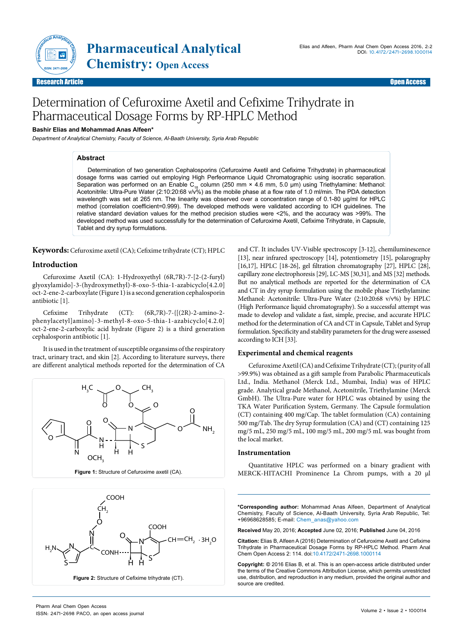

Research Article **Contract Contract Contract Contract Contract Contract Contract Contract Contract Contract Contract Contract Contract Contract Contract Contract Contract Contract Contract Contract Contract Contract Contra** 

# Determination of Cefuroxime Axetil and Cefixime Trihydrate in Pharmaceutical Dosage Forms by RP-HPLC Method

### **Bashir Elias and Mohammad Anas Alfeen\***

*Department of Analytical Chemistry, Faculty of Science, Al-Baath University, Syria Arab Republic*

### **Abstract**

Determination of two generation Cephalosporins (Cefuroxime Axetil and Cefixime Trihydrate) in pharmaceutical dosage forms was carried out employing High Perfeormance Liquid Chromatographic using isocratic separation. Separation was performed on an Enable C<sub>18</sub> column (250 mm × 4.6 mm, 5.0 µm) using Triethylamine: Methanol:<br>Acetonitrile: Ultra-Pure Water (2:10:20:68 v/v%) as the mobile phase at a flow rate of 1.0 ml/min. The PDA detecti wavelength was set at 265 nm. The linearity was observed over a concentration range of 0.1-80 μg/ml for HPLC method (correlation coefficient=0.999). The developed methods were validated according to ICH guidelines. The relative standard deviation values for the method precision studies were <2%, and the accuracy was >99%. The developed method was used successfully for the determination of Cefuroxime Axetil, Cefixime Trihydrate, in Capsule, Tablet and dry syrup formulations.

**Keywords:** Cefuroxime axetil (CA); Cefixime trihydrate (CT); HPLC

### **Introduction**

Cefuroxime Axetil (CA): 1-Hydroxyethyl (6R,7R)-7-[2-(2-furyl) glyoxylamido]-3-(hydroxymethyl)-8-oxo-5-thia-1-azabicyclo[4.2.0] oct-2-ene-2-carboxylate (Figure 1) is a second generation cephalosporin antibiotic [1].

Cefixime Trihydrate (CT): (6R,7R)-7-{[(2R)-2-amino-2 phenylacetyl]amino}-3-methyl-8-oxo-5-thia-1-azabicyclo[4.2.0] oct-2-ene-2-carboxylic acid hydrate (Figure 2) is a third generation cephalosporin antibiotic [1].

It is used in the treatment of susceptible organsims of the respiratory tract, urinary tract, and skin [2]. According to literature surveys, there are different analytical methods reported for the determination of CA





and CT. It includes UV-Visible spectroscopy [3-12], chemiluminescence [13], near infrared spectroscopy [14], potentiometry [15], polarography [16,17], HPLC [18-26], gel filtration chromatography [27], HPLC [28], capillary zone electrophoresis [29], LC-MS [30,31], and MS [32] methods. But no analytical methods are reported for the determination of CA and CT in dry syrup formulation using the mobile phase Triethylamine: Methanol: Acetonitrile: Ultra-Pure Water (2:10:20:68 v/v%) by HPLC (High Performance liquid chromatography). So a successful attempt was made to develop and validate a fast, simple, precise, and accurate HPLC method for the determination of CA and CT in Capsule, Tablet and Syrup formulation. Specificity and stability parameters for the drug were assessed according to ICH [33].

### **Experimental and chemical reagents**

Cefuroxime Axetil (CA) and Cefixime Trihydrate (CT); (purity of all >99.9%) was obtained as a gift sample from Parabolic Pharmaceuticals Ltd., India. Methanol (Merck Ltd., Mumbai, India) was of HPLC grade. Analytical grade Methanol, Acetonitrile, Triethylamine (Merck GmbH). The Ultra-Pure water for HPLC was obtained by using the TKA Water Purification System, Germany. The Capsule formulation (CT) containing 400 mg/Cap. The tablet formulation (CA) containing 500 mg/Tab. The dry Syrup formulation (CA) and (CT) containing 125 mg/5 mL, 250 mg/5 mL, 100 mg/5 mL, 200 mg/5 mL was bought from the local market.

#### **Instrumentation**

Quantitative HPLC was performed on a binary gradient with MERCK-HITACHI Prominence La Chrom pumps, with a 20 μl

**\*Corresponding author:** Mohammad Anas Alfeen, Department of Analytical Chemistry, Faculty of Science, Al-Baath University, Syria Arab Republic, Tel: +96968628585; E-mail: Chem\_anas@yahoo.com

**Received** May 20, 2016; **Accepted** June 02, 2016; **Published** June 04, 2016

**Citation:** Elias B, Alfeen A (2016) Determination of Cefuroxime Axetil and Cefixime Trihydrate in Pharmaceutical Dosage Forms by RP-HPLC Method. Pharm Anal Chem Open Access 2: 114. doi:10.4172/2471-2698.1000114

**Copyright: ©** 2016 Elias B, et al. This is an open-access article distributed under the terms of the Creative Commons Attribution License, which permits unrestricted use, distribution, and reproduction in any medium, provided the original author and source are credited.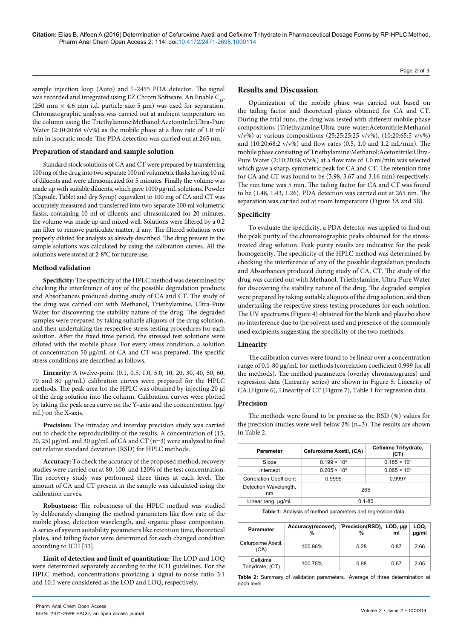sample injection loop (Auto) and L-2455 PDA detector. The signal was recorded and integrated using EZ Chrom Software. An Enable C<sub>18</sub>, (250 mm  $\times$  4.6 mm i.d. particle size 5 µm) was used for separation. Chromatographic analysis was carried out at ambient temperature on the column using the Triethylamine:Methanol:Acetonitrile:Ultra-Pure Water (2:10:20:68 v/v%) as the mobile phase at a flow rate of 1.0 ml/ min in isocratic mode. The PDA detection was carried out at 265 nm.

### **Preparation of standard and sample solution**

Standard stock solutions of CA and CT were prepared by transferring 100 mg of the drug into two separate 100 ml volumetric flasks having 10 ml of diluents and were ultrasonicated for 5 minutes. Finally the volume was made up with suitable diluents, which gave 1000 µg/mL solutions. Powder (Capsule, Tablet and dry Syrup) equivalent to 100 mg of CA and CT was accurately measured and transferred into two separate 100 ml volumetric flasks, containing 10 ml of diluents and ultrasonicated for 20 minutes; the volume was made up and mixed well. Solutions were filtered by a 0.2 μm filter to remove particulate matter, if any. The filtered solutions were properly diluted for analysis as already described. The drug present in the sample solutions was calculated by using the calibration curves. All the solutions were stored at 2-8°C for future use.

#### **Method validation**

**Specificity:** The specificity of the HPLC method was determined by checking the interference of any of the possible degradation products and Absorbances produced during study of CA and CT. The study of the drug was carried out with Methanol, Triethylamine, Ultra-Pure Water for discovering the stability nature of the drug. The degraded samples were prepared by taking suitable aliquots of the drug solution, and then undertaking the respective stress testing procedures for each solution. After the fixed time period, the stressed test solutions were diluted with the mobile phase. For every stress condition, a solution of concentration 50 µg/mL of CA and CT was prepared. The specific stress conditions are described as follows.

**Linearity:** A twelve-point (0.1, 0.5, 1.0, 5.0, 10, 20, 30, 40, 50, 60, 70 and 80 µg/mL) calibration curves were prepared for the HPLC methods. The peak area for the HPLC was obtained by injecting 20 µl of the drug solution into the column. Calibration curves were plotted by taking the peak area curve on the Y-axis and the concentration (µg/ mL) on the X-axis.

**Precision:** The intraday and interday precision study was carried out to check the reproducibility of the results. A concentration of (15, 20, 25)  $\mu$ g/mL and 30  $\mu$ g/mL of CA and CT (n=3) were analyzed to find out relative standard deviation (RSD) for HPLC methods.

**Accuracy:** To check the accuracy of the proposed method, recovery studies were carried out at 80, 100, and 120% of the test concentration. The recovery study was performed three times at each level. The amount of CA and CT present in the sample was calculated using the calibration curves.

**Robustness:** The robustness of the HPLC method was studied by deliberately changing the method parameters like flow rate of the mobile phase, detection wavelength, and organic phase composition. A series of system suitability parameters like retention time, theoretical plates, and tailing factor were determined for each changed condition according to ICH [33].

**Limit of detection and limit of quantitation:** The LOD and LOQ were determined separately according to the ICH guidelines. For the HPLC method, concentrations providing a signal-to-noise ratio 3:1 and 10:1 were considered as the LOD and LOQ, respectively.

### **Results and Discussion**

Optimization of the mobile phase was carried out based on the tailing factor and theoretical plates obtained for CA and CT. During the trial runs, the drug was tested with different mobile phase compositions (Triethylamine:Ultra-pure water:Acetonitirle:Methanol v/v%) at various compositions (25:25:25:25 v/v%), (10:20:65:5 v/v%) and (10:20:68:2 v/v%) and flow rates (0.5, 1.0 and 1.2 mL/min). The mobile phase consisting of Triethylamine:Methanol:Acetonitrile:Ultra-Pure Water (2:10:20:68 v/v%) at a flow rate of 1.0 ml/min was selected which gave a sharp, symmetric peak for CA and CT. The retention time for CA and CT was found to be (3.98, 3.67 and 3.16 min) respectively. The run time was 5 min. The tailing factor for CA and CT was found to be (1.48, 1.43, 1.26). PDA detection was carried out at 265 nm. The separation was carried out at room temperature (Figure 3A and 3B).

### **Specificity**

To evaluate the specificity, a PDA detector was applied to find out the peak purity of the chromatographic peaks obtained for the stresstreated drug solution. Peak purity results are indicative for the peak homogeneity. The specificity of the HPLC method was determined by checking the interference of any of the possible degradation products and Absorbances produced during study of CA, CT. The study of the drug was carried out with Methanol, Triethylamine, Ultra-Pure Water for discovering the stability nature of the drug. The degraded samples were prepared by taking suitable aliquots of the drug solution, and then undertaking the respective stress testing procedures for each solution. The UV spectrums (Figure 4) obtained for the blank and placebo show no interference due to the solvent used and presence of the commonly used excipients suggesting the specificity of the two methods.

### **Linearity**

The calibration curves were found to be linear over a concentration range of 0.1-80 µg/mL for methods (correlation coefficient 0.999 for all the methods). The method parameters (overlay chromatograms) and regression data (Linearity series) are shown in Figure 5. Linearity of CA (Figure 6), Linearity of CT (Figure 7), Table 1 for regression data.

#### **Precision**

The methods were found to be precise as the RSD (%) values for the precision studies were well below 2% (n=3). The results are shown in Table 2.

| Parameter                      | Cefuroxime Axetil, (CA) | Cefixime Trihydrate,<br>(CT) |  |
|--------------------------------|-------------------------|------------------------------|--|
| Slope                          | $0.199 \times 10^{6}$   | $0.185 \times 10^{6}$        |  |
| Intercept                      | $0.205 \times 10^{6}$   | $0.065 \times 10^6$          |  |
| <b>Correlation Coefficient</b> | 0.9995                  | 0.9997                       |  |
| Detection Wavelength,<br>nm    | 265                     |                              |  |
| Linear rang, µg/mL             | $0.1 - 80$              |                              |  |

**Table 1:** Analysis of method parameters and regression data.

| <b>Parameter</b>             | Accuracy(recover), | Precision(RSD), LOD, µg/<br>% | ml   | LOQ.<br>µg/ml |
|------------------------------|--------------------|-------------------------------|------|---------------|
| Cefuroxime Axetil,<br>(CA)   | 100.96%            | 0.28                          | 0.87 | 2.66          |
| Cefixime<br>Trihydrate, (CT) | 100.75%            | 0.98                          | 0.67 | 2.05          |

**Table 2:** Summary of validation parameters. \* Average of three determination at each level.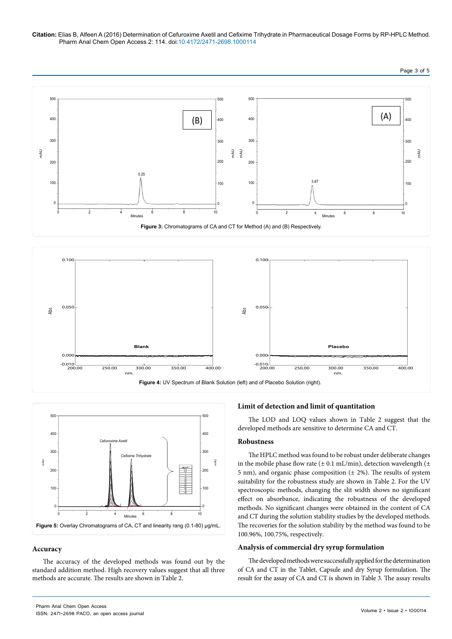**Citation:** Elias B, Alfeen A (2016) Determination of Cefuroxime Axetil and Cefixime Trihydrate in Pharmaceutical Dosage Forms by RP-HPLC Method. Pharm Anal Chem Open Access 2: 114. doi:10.4172/2471-2698.1000114







### **Accuracy**

The accuracy of the developed methods was found out by the standard addition method. High recovery values suggest that all three methods are accurate. The results are shown in Table 2.

### **Limit of detection and limit of quantitation**

The LOD and LOQ values shown in Table 2 suggest that the developed methods are sensitive to determine CA and CT.

### **Robustness**

The HPLC method was found to be robust under deliberate changes in the mobile phase flow rate ( $\pm$  0.1 mL/min), detection wavelength ( $\pm$ 5 nm), and organic phase composition  $(\pm 2\%)$ . The results of system suitability for the robustness study are shown in Table 2. For the UV spectroscopic methods, changing the slit width shows no significant effect on absorbance, indicating the robustness of the developed methods. No significant changes were obtained in the content of CA and CT during the solution stability studies by the developed methods. The recoveries for the solution stability by the method was found to be 100.96%, 100.75%, respectively.

### **Analysis of commercial dry syrup formulation**

The developed methods were successfully applied for the determination of CA and CT in the Tablet, Capsule and dry Syrup formulation. The result for the assay of CA and CT is shown in Table 3. The assay results

Page 3 of 5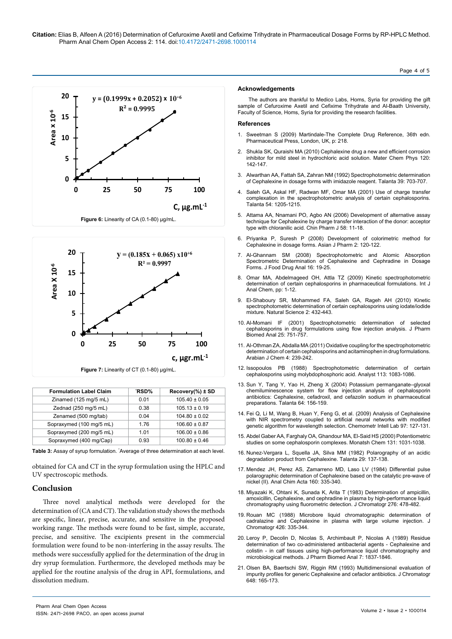**Citation:** Elias B, Alfeen A (2016) Determination of Cefuroxime Axetil and Cefixime Trihydrate in Pharmaceutical Dosage Forms by RP-HPLC Method. Pharm Anal Chem Open Access 2: 114. doi:10.4172/2471-2698.1000114

## **20 y = (0.1999x + 0.2052) x 10+6 R² = 0.9995 Area x 10-6** Area  $\times 10^{-6}$ **15 10 5 0 0 25 50 75 100 C, µg.mL-1** Figure 6: Linearity of CA (0.1-80) µg/mL



| <b>Formulation Label Claim</b> | <b>RSD%</b> | $Recovery(\%)\pm SD$ |
|--------------------------------|-------------|----------------------|
| Zinamed (125 mg/5 mL)          | 0.01        | $105.40 \pm 0.05$    |
| Zednad (250 mg/5 mL)           | 0.38        | $105.13 \pm 0.19$    |
| Zenamed (500 mg/tab)           | 0.04        | $104.80 \pm 0.02$    |
| Sopraxymed (100 mg/5 mL)       | 1.76        | $106.60 \pm 0.87$    |
| Sopraxymed (200 mg/5 mL)       | 1.01        | $106.00 \pm 0.86$    |
| Sopraxymed (400 mg/Cap)        | 0.93        | $100.80 \pm 0.46$    |

Table 3: Assay of syrup formulation. 'Average of three determination at each level.

obtained for CA and CT in the syrup formulation using the HPLC and UV spectroscopic methods.

### **Conclusion**

Three novel analytical methods were developed for the determination of (CA and CT). The validation study shows the methods are specific, linear, precise, accurate, and sensitive in the proposed working range. The methods were found to be fast, simple, accurate, precise, and sensitive. The excipients present in the commercial formulation were found to be non-interfering in the assay results. The methods were successfully applied for the determination of the drug in dry syrup formulation. Furthermore, the developed methods may be applied for the routine analysis of the drug in API, formulations, and dissolution medium.

#### **Acknowledgements**

The authors are thankful to Medico Labs, Homs, Syria for providing the gift sample of Cefuroxime Axetil and Cefixime Trihydrate and Al-Baath University, Faculty of Science, Homs, Syria for providing the research facilities.

#### **References**

- 1. [Sweetman S \(2009\) Martindale-The Complete Drug Reference, 36th edn.](http://pharmabookstore.com/blog/martindale-complete-drug-reference-36th-edition/)  [Pharmaceutical Press, London, UK, p: 218.](http://pharmabookstore.com/blog/martindale-complete-drug-reference-36th-edition/)
- 2. [Shukla SK, Quraishi MA \(2010\) Cephalexine drug a new and efficient corrosion](http://www.sciencedirect.com/science/article/pii/S0254058409006622)  i[nhibitor for mild steel in hydrochloric acid solution. Mater Chem Phys 120:](http://www.sciencedirect.com/science/article/pii/S0254058409006622)  [142-147](http://www.sciencedirect.com/science/article/pii/S0254058409006622).
- 3. Alwarthan AA, Fattah SA, Zahran NM (1992) Spectrophotometric determination of Cephalexine in dosage forms with imidazole reagent. Talanta 39: 703-707.
- 4. [Saleh GA, Askal HF, Radwan MF, Omar MA \(2001\) Use of charge transfer](http://www.ncbi.nlm.nih.gov/pubmed/18968341)  [complexation in the spectrophotometric analysis of certain cephalosporins.](http://www.ncbi.nlm.nih.gov/pubmed/18968341)  [Talanta 54: 1205-1215.](http://www.ncbi.nlm.nih.gov/pubmed/18968341)
- 5. [Attama AA, Nnamani PO, Agbo AN \(2006\) Development of alternative assay](http://web2.tmu.edu.tw/pharmtw/cjp/issue/58-1/J002.pdf)  [technique for Cephalexine by charge transfer interaction of the donor: acceptor](http://web2.tmu.edu.tw/pharmtw/cjp/issue/58-1/J002.pdf)  [type with chloranilic acid. Chin Pharm J 58: 11-18.](http://web2.tmu.edu.tw/pharmtw/cjp/issue/58-1/J002.pdf)
- 6. [Priyanka P, Suresh P \(2008\) Development of colorimetric method for](http://www.asiapharmaceutics.info/index.php/ajp/article/view/188)  [Cephalexine in dosage forms. Asian J Pharm 2: 120-122](http://www.asiapharmaceutics.info/index.php/ajp/article/view/188).
- 7. [Al-Ghannam SM \(2008\) Spectrophotometric and Atomic Absorption](http://www.irjponline.com/admin/php/uploads/vol2-issue9/29.pdf)  [Spectrometric Determination of Cephalexine and Cephradine in Dosage](http://www.irjponline.com/admin/php/uploads/vol2-issue9/29.pdf)  [Forms. J Food Drug Anal 16: 19-25](http://www.irjponline.com/admin/php/uploads/vol2-issue9/29.pdf).
- 8. [Omar MA, Abdelmageed OH, Attla TZ \(2009\) Kinetic spectrophotometric](http://www.hindawi.com/journals/ijac/2009/596379/)  [determination of certain cephalosporins in pharmaceutical formulations. Int J](http://www.hindawi.com/journals/ijac/2009/596379/)  [Anal Chem, pp: 1-12.](http://www.hindawi.com/journals/ijac/2009/596379/)
- 9. [El-Shaboury SR, Mohammed FA, Saleh GA, Rageh AH \(2010\) Kinetic](http://www.scirp.org/journal/PaperInformation.aspx?PaperID=1893)  [spectrophotometric determination of certain cephalosporins using iodate/iodide](http://www.scirp.org/journal/PaperInformation.aspx?PaperID=1893)  [mixture. Natural Science 2: 432-443](http://www.scirp.org/journal/PaperInformation.aspx?PaperID=1893).
- 10. [Al-Momani IF \(2001\) Spectrophotometric determination of selected](http://www.ncbi.nlm.nih.gov/pubmed/11377057)  [cephalosporins in drug formulations using flow injection analysis. J Pharm](http://www.ncbi.nlm.nih.gov/pubmed/11377057)  [Biomed Anal 25: 751-757.](http://www.ncbi.nlm.nih.gov/pubmed/11377057)
- 11. [Al-Othman ZA, Abdalla MA \(2011\) Oxidative coupling for the spectrophotometric](http://www.sciencedirect.com/science/article/pii/S1878535210001280)  [determination of certain cephalosporins and acitaminophen in drug formulations.](http://www.sciencedirect.com/science/article/pii/S1878535210001280)  [Arabian J Chem 4: 239-242](http://www.sciencedirect.com/science/article/pii/S1878535210001280).
- 12. [Issopoulos PB \(1988\) Spectrophotometric determination of certain](http://pubs.rsc.org/en/Content/ArticleLanding/1988/AN/AN9881301083)  [cephalosporins using molybdophosphoric acid. Analyst 113: 1083-1086.](http://pubs.rsc.org/en/Content/ArticleLanding/1988/AN/AN9881301083)
- 13. [Sun Y, Tang Y, Yao H, Zheng X \(2004\) Potassium permanganate–glyoxal](http://img.dxycdn.com/trademd/upload/asset/2010/01/18/1263774963.pdf)  [chemiluminescence system for flow injection analysis of cephalosporin](http://img.dxycdn.com/trademd/upload/asset/2010/01/18/1263774963.pdf)  [antibiotics: Cephalexine, cefadroxil, and cefazolin sodium in pharmaceutical](http://img.dxycdn.com/trademd/upload/asset/2010/01/18/1263774963.pdf)  [preparations. Talanta 64: 156-159](http://img.dxycdn.com/trademd/upload/asset/2010/01/18/1263774963.pdf).
- 14. [Fei Q, Li M, Wang B, Huan Y, Feng G, et al. \(2009\) Analysis of Cephalexine](http://www.sciencedirect.com/science/article/pii/S0169743909000392)  with NIR spectrometry coupled to artificial neural networks with modified [genetic algorithm for wavelength selection. Chemometr Intell Lab 97: 127-131.](http://www.sciencedirect.com/science/article/pii/S0169743909000392)
- 15. [Abdel Gaber AA, Farghaly OA, Ghandour MA, El-Said HS \(2000\) Potentiometric](http://link.springer.com/article/10.1007/s007060070034)  [studies on some cephalosporin complexes. Monatsh Chem 131: 1031-1038.](http://link.springer.com/article/10.1007/s007060070034)
- 16. [Nunez-Vergara L, Squella JA, Silva MM \(1982\) Polarography of an acidic](http://www.sciencedirect.com/science/article/pii/0039914082800362)  [degradation product from Cephalexine. Talanta 29: 137-138](http://www.sciencedirect.com/science/article/pii/0039914082800362).
- 17. [Mendez JH, Perez AS, Zamarreno MD, Laso LV \(1984\) Differential pulse](http://www.sciencedirect.com/science/article/pii/S0003267000845419)  [polarographic determination of Cephalexine based on the catalytic pre-wave of](http://www.sciencedirect.com/science/article/pii/S0003267000845419)  [nickel \(II\). Anal Chim Acta 160: 335-340](http://www.sciencedirect.com/science/article/pii/S0003267000845419).
- 18. [Miyazaki K, Ohtani K, Sunada K, Arita T \(1983\) Determination of ampicillin,](http://www.sciencedirect.com/science/article/pii/S0378434700851208)  [amoxicillin, Cephalexine, and cephradine in plasma by high-performance liquid](http://www.sciencedirect.com/science/article/pii/S0378434700851208)  [chromatography using fluorometric detection. J Chromatogr 276: 478-482.](http://www.sciencedirect.com/science/article/pii/S0378434700851208)
- 19. [Rouan MC \(1988\) Microbore liquid chromatographic determination of](http://www.ncbi.nlm.nih.gov/pubmed/3392145)  [cadralazine and Cephalexine in plasma with large volume injection. J](http://www.ncbi.nlm.nih.gov/pubmed/3392145)  [Chromatogr 426: 335-344.](http://www.ncbi.nlm.nih.gov/pubmed/3392145)
- 20. [Leroy P, Decolin D, Nicolas S, Archimbault P, Nicolas A \(1989\) Residue](http://www.ncbi.nlm.nih.gov/pubmed/2490572)  [determination of two co-administered antibacterial agents - Cephalexine and](http://www.ncbi.nlm.nih.gov/pubmed/2490572)  [colistin - in calf tissues using high-performance liquid chromatography and](http://www.ncbi.nlm.nih.gov/pubmed/2490572)  [microbiological methods. J Pharm Biomed Anal 7: 1837-1846](http://www.ncbi.nlm.nih.gov/pubmed/2490572).
- 21. [Olsen BA, Baertschi SW, Riggin RM \(1993\) Multidimensional evaluation of](http://www.sciencedirect.com/science/article/pii/0021967393832987)  [impurity profiles for generic Cephalexine and cefaclor antibiotics. J Chromatogr](http://www.sciencedirect.com/science/article/pii/0021967393832987)  [648: 165-173.](http://www.sciencedirect.com/science/article/pii/0021967393832987)